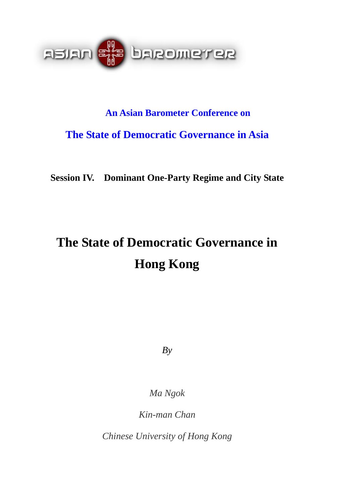

# **An Asian Barometer Conference on The State of Democratic Governance in Asia**

**Session IV. Dominant One-Party Regime and City State** 

# **The State of Democratic Governance in Hong Kong**

*By* 

*Ma Ngok* 

*Kin-man Chan* 

*Chinese University of Hong Kong*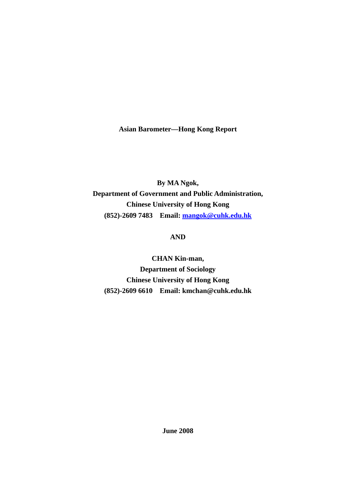**Asian Barometer—Hong Kong Report** 

**By MA Ngok, Department of Government and Public Administration, Chinese University of Hong Kong (852)-2609 7483 Email: [mangok@cuhk.edu.hk](mailto:mangok@cuhk.edu.hk)**

**AND** 

**CHAN Kin-man, Department of Sociology Chinese University of Hong Kong (852)-2609 6610 Email: kmchan@cuhk.edu.hk** 

**June 2008**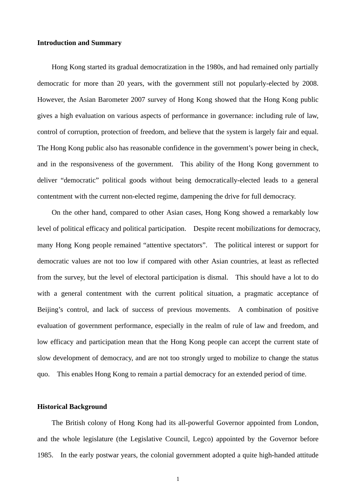#### **Introduction and Summary**

 Hong Kong started its gradual democratization in the 1980s, and had remained only partially democratic for more than 20 years, with the government still not popularly-elected by 2008. However, the Asian Barometer 2007 survey of Hong Kong showed that the Hong Kong public gives a high evaluation on various aspects of performance in governance: including rule of law, control of corruption, protection of freedom, and believe that the system is largely fair and equal. The Hong Kong public also has reasonable confidence in the government's power being in check, and in the responsiveness of the government. This ability of the Hong Kong government to deliver "democratic" political goods without being democratically-elected leads to a general contentment with the current non-elected regime, dampening the drive for full democracy.

 On the other hand, compared to other Asian cases, Hong Kong showed a remarkably low level of political efficacy and political participation. Despite recent mobilizations for democracy, many Hong Kong people remained "attentive spectators". The political interest or support for democratic values are not too low if compared with other Asian countries, at least as reflected from the survey, but the level of electoral participation is dismal. This should have a lot to do with a general contentment with the current political situation, a pragmatic acceptance of Beijing's control, and lack of success of previous movements. A combination of positive evaluation of government performance, especially in the realm of rule of law and freedom, and low efficacy and participation mean that the Hong Kong people can accept the current state of slow development of democracy, and are not too strongly urged to mobilize to change the status quo. This enables Hong Kong to remain a partial democracy for an extended period of time.

#### **Historical Background**

 The British colony of Hong Kong had its all-powerful Governor appointed from London, and the whole legislature (the Legislative Council, Legco) appointed by the Governor before 1985. In the early postwar years, the colonial government adopted a quite high-handed attitude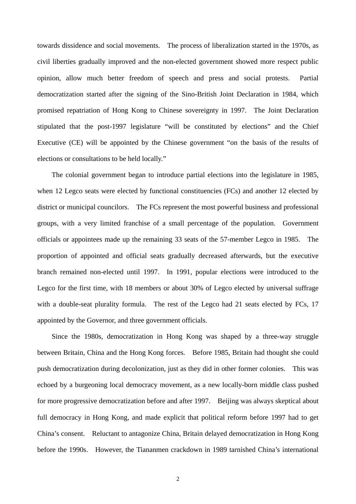towards dissidence and social movements. The process of liberalization started in the 1970s, as civil liberties gradually improved and the non-elected government showed more respect public opinion, allow much better freedom of speech and press and social protests. Partial democratization started after the signing of the Sino-British Joint Declaration in 1984, which promised repatriation of Hong Kong to Chinese sovereignty in 1997. The Joint Declaration stipulated that the post-1997 legislature "will be constituted by elections" and the Chief Executive (CE) will be appointed by the Chinese government "on the basis of the results of elections or consultations to be held locally."

 The colonial government began to introduce partial elections into the legislature in 1985, when 12 Legco seats were elected by functional constituencies (FCs) and another 12 elected by district or municipal councilors. The FCs represent the most powerful business and professional groups, with a very limited franchise of a small percentage of the population. Government officials or appointees made up the remaining 33 seats of the 57-member Legco in 1985. The proportion of appointed and official seats gradually decreased afterwards, but the executive branch remained non-elected until 1997. In 1991, popular elections were introduced to the Legco for the first time, with 18 members or about 30% of Legco elected by universal suffrage with a double-seat plurality formula. The rest of the Legco had 21 seats elected by FCs, 17 appointed by the Governor, and three government officials.

 Since the 1980s, democratization in Hong Kong was shaped by a three-way struggle between Britain, China and the Hong Kong forces. Before 1985, Britain had thought she could push democratization during decolonization, just as they did in other former colonies. This was echoed by a burgeoning local democracy movement, as a new locally-born middle class pushed for more progressive democratization before and after 1997. Beijing was always skeptical about full democracy in Hong Kong, and made explicit that political reform before 1997 had to get China's consent. Reluctant to antagonize China, Britain delayed democratization in Hong Kong before the 1990s. However, the Tiananmen crackdown in 1989 tarnished China's international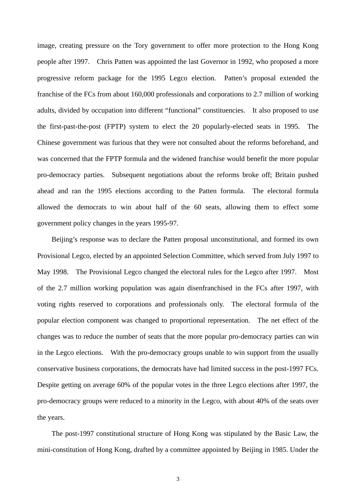image, creating pressure on the Tory government to offer more protection to the Hong Kong people after 1997. Chris Patten was appointed the last Governor in 1992, who proposed a more progressive reform package for the 1995 Legco election. Patten's proposal extended the franchise of the FCs from about 160,000 professionals and corporations to 2.7 million of working adults, divided by occupation into different "functional" constituencies. It also proposed to use the first-past-the-post (FPTP) system to elect the 20 popularly-elected seats in 1995. The Chinese government was furious that they were not consulted about the reforms beforehand, and was concerned that the FPTP formula and the widened franchise would benefit the more popular pro-democracy parties. Subsequent negotiations about the reforms broke off; Britain pushed ahead and ran the 1995 elections according to the Patten formula. The electoral formula allowed the democrats to win about half of the 60 seats, allowing them to effect some government policy changes in the years 1995-97.

Beijing's response was to declare the Patten proposal unconstitutional, and formed its own Provisional Legco, elected by an appointed Selection Committee, which served from July 1997 to May 1998. The Provisional Legco changed the electoral rules for the Legco after 1997. Most of the 2.7 million working population was again disenfranchised in the FCs after 1997, with voting rights reserved to corporations and professionals only. The electoral formula of the popular election component was changed to proportional representation. The net effect of the changes was to reduce the number of seats that the more popular pro-democracy parties can win in the Legco elections. With the pro-democracy groups unable to win support from the usually conservative business corporations, the democrats have had limited success in the post-1997 FCs. Despite getting on average 60% of the popular votes in the three Legco elections after 1997, the pro-democracy groups were reduced to a minority in the Legco, with about 40% of the seats over the years.

The post-1997 constitutional structure of Hong Kong was stipulated by the Basic Law, the mini-constitution of Hong Kong, drafted by a committee appointed by Beijing in 1985. Under the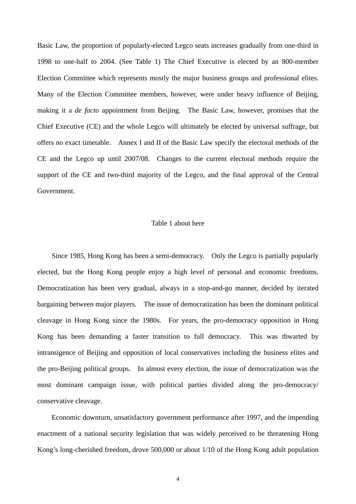Basic Law, the proportion of popularly-elected Legco seats increases gradually from one-third in 1998 to one-half to 2004. (See Table 1) The Chief Executive is elected by an 800-member Election Committee which represents mostly the major business groups and professional elites. Many of the Election Committee members, however, were under heavy influence of Beijing, making it a *de facto* appointment from Beijing. The Basic Law, however, promises that the Chief Executive (CE) and the whole Legco will ultimately be elected by universal suffrage, but offers no exact timetable. Annex I and II of the Basic Law specify the electoral methods of the CE and the Legco up until 2007/08. Changes to the current electoral methods require the support of the CE and two-third majority of the Legco, and the final approval of the Central Government.

#### Table 1 about here

 Since 1985, Hong Kong has been a semi-democracy. Only the Legco is partially popularly elected, but the Hong Kong people enjoy a high level of personal and economic freedoms. Democratization has been very gradual, always in a stop-and-go manner, decided by iterated bargaining between major players. The issue of democratization has been the dominant political cleavage in Hong Kong since the 1980s. For years, the pro-democracy opposition in Hong Kong has been demanding a faster transition to full democracy. This was thwarted by intransigence of Beijing and opposition of local conservatives including the business elites and the pro-Beijing political groups. In almost every election, the issue of democratization was the most dominant campaign issue, with political parties divided along the pro-democracy/ conservative cleavage.

Economic downturn, unsatisfactory government performance after 1997, and the impending enactment of a national security legislation that was widely perceived to be threatening Hong Kong's long-cherished freedom, drove 500,000 or about 1/10 of the Hong Kong adult population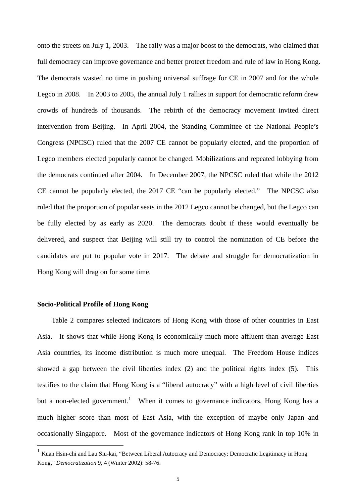onto the streets on July 1, 2003. The rally was a major boost to the democrats, who claimed that full democracy can improve governance and better protect freedom and rule of law in Hong Kong. The democrats wasted no time in pushing universal suffrage for CE in 2007 and for the whole Legco in 2008. In 2003 to 2005, the annual July 1 rallies in support for democratic reform drew crowds of hundreds of thousands. The rebirth of the democracy movement invited direct intervention from Beijing. In April 2004, the Standing Committee of the National People's Congress (NPCSC) ruled that the 2007 CE cannot be popularly elected, and the proportion of Legco members elected popularly cannot be changed. Mobilizations and repeated lobbying from the democrats continued after 2004. In December 2007, the NPCSC ruled that while the 2012 CE cannot be popularly elected, the 2017 CE "can be popularly elected." The NPCSC also ruled that the proportion of popular seats in the 2012 Legco cannot be changed, but the Legco can be fully elected by as early as 2020. The democrats doubt if these would eventually be delivered, and suspect that Beijing will still try to control the nomination of CE before the candidates are put to popular vote in 2017. The debate and struggle for democratization in Hong Kong will drag on for some time.

#### **Socio-Political Profile of Hong Kong**

 $\overline{a}$ 

 Table 2 compares selected indicators of Hong Kong with those of other countries in East Asia. It shows that while Hong Kong is economically much more affluent than average East Asia countries, its income distribution is much more unequal. The Freedom House indices showed a gap between the civil liberties index (2) and the political rights index (5). This testifies to the claim that Hong Kong is a "liberal autocracy" with a high level of civil liberties but a non-elected government.<sup>[1](#page-6-0)</sup> When it comes to governance indicators, Hong Kong has a much higher score than most of East Asia, with the exception of maybe only Japan and occasionally Singapore. Most of the governance indicators of Hong Kong rank in top 10% in

<span id="page-6-0"></span><sup>&</sup>lt;sup>1</sup> Kuan Hsin-chi and Lau Siu-kai, "Between Liberal Autocracy and Democracy: Democratic Legitimacy in Hong Kong," *Democratization* 9, 4 (Winter 2002): 58-76.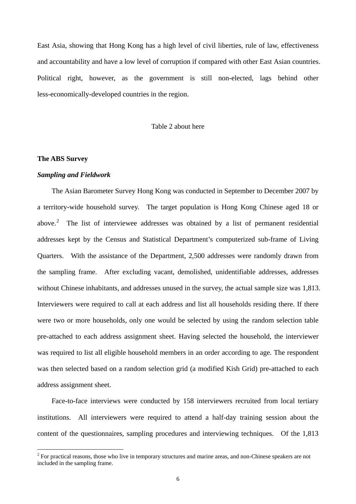East Asia, showing that Hong Kong has a high level of civil liberties, rule of law, effectiveness and accountability and have a low level of corruption if compared with other East Asian countries. Political right, however, as the government is still non-elected, lags behind other less-economically-developed countries in the region.

Table 2 about here

#### **The ABS Survey**

 $\overline{a}$ 

#### *Sampling and Fieldwork*

 The Asian Barometer Survey Hong Kong was conducted in September to December 2007 by a territory-wide household survey. The target population is Hong Kong Chinese aged 18 or above.<sup>[2](#page-7-0)</sup> The list of interviewee addresses was obtained by a list of permanent residential addresses kept by the Census and Statistical Department's computerized sub-frame of Living Quarters. With the assistance of the Department, 2,500 addresses were randomly drawn from the sampling frame. After excluding vacant, demolished, unidentifiable addresses, addresses without Chinese inhabitants, and addresses unused in the survey, the actual sample size was 1,813. Interviewers were required to call at each address and list all households residing there. If there were two or more households, only one would be selected by using the random selection table pre-attached to each address assignment sheet. Having selected the household, the interviewer was required to list all eligible household members in an order according to age. The respondent was then selected based on a random selection grid (a modified Kish Grid) pre-attached to each address assignment sheet.

Face-to-face interviews were conducted by 158 interviewers recruited from local tertiary institutions. All interviewers were required to attend a half-day training session about the content of the questionnaires, sampling procedures and interviewing techniques. Of the 1,813

<span id="page-7-0"></span> $2^{2}$  For practical reasons, those who live in temporary structures and marine areas, and non-Chinese speakers are not included in the sampling frame.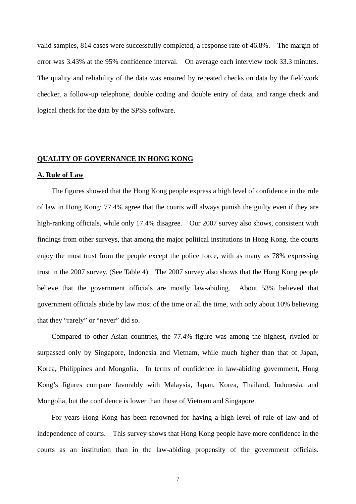valid samples, 814 cases were successfully completed, a response rate of 46.8%. The margin of error was 3.43% at the 95% confidence interval. On average each interview took 33.3 minutes. The quality and reliability of the data was ensured by repeated checks on data by the fieldwork checker, a follow-up telephone, double coding and double entry of data, and range check and logical check for the data by the SPSS software.

#### **QUALITY OF GOVERNANCE IN HONG KONG**

#### **A. Rule of Law**

 The figures showed that the Hong Kong people express a high level of confidence in the rule of law in Hong Kong: 77.4% agree that the courts will always punish the guilty even if they are high-ranking officials, while only 17.4% disagree. Our 2007 survey also shows, consistent with findings from other surveys, that among the major political institutions in Hong Kong, the courts enjoy the most trust from the people except the police force, with as many as 78% expressing trust in the 2007 survey. (See Table 4) The 2007 survey also shows that the Hong Kong people believe that the government officials are mostly law-abiding. About 53% believed that government officials abide by law most of the time or all the time, with only about 10% believing that they "rarely" or "never" did so.

Compared to other Asian countries, the 77.4% figure was among the highest, rivaled or surpassed only by Singapore, Indonesia and Vietnam, while much higher than that of Japan, Korea, Philippines and Mongolia. In terms of confidence in law-abiding government, Hong Kong's figures compare favorably with Malaysia, Japan, Korea, Thailand, Indonesia, and Mongolia, but the confidence is lower than those of Vietnam and Singapore.

For years Hong Kong has been renowned for having a high level of rule of law and of independence of courts. This survey shows that Hong Kong people have more confidence in the courts as an institution than in the law-abiding propensity of the government officials.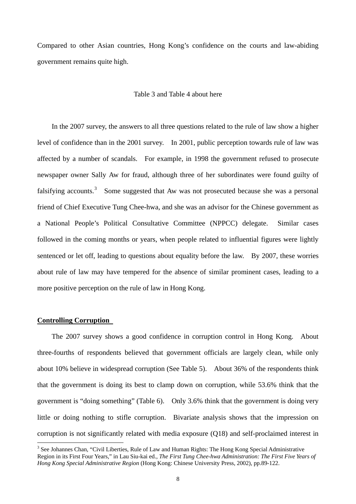Compared to other Asian countries, Hong Kong's confidence on the courts and law-abiding government remains quite high.

#### Table 3 and Table 4 about here

 In the 2007 survey, the answers to all three questions related to the rule of law show a higher level of confidence than in the 2001 survey. In 2001, public perception towards rule of law was affected by a number of scandals. For example, in 1998 the government refused to prosecute newspaper owner Sally Aw for fraud, although three of her subordinates were found guilty of falsifying accounts.<sup>[3](#page-9-0)</sup> Some suggested that Aw was not prosecuted because she was a personal friend of Chief Executive Tung Chee-hwa, and she was an advisor for the Chinese government as a National People's Political Consultative Committee (NPPCC) delegate. Similar cases followed in the coming months or years, when people related to influential figures were lightly sentenced or let off, leading to questions about equality before the law. By 2007, these worries about rule of law may have tempered for the absence of similar prominent cases, leading to a more positive perception on the rule of law in Hong Kong.

#### **Controlling Corruption**

 $\overline{a}$ 

 The 2007 survey shows a good confidence in corruption control in Hong Kong. About three-fourths of respondents believed that government officials are largely clean, while only about 10% believe in widespread corruption (See Table 5). About 36% of the respondents think that the government is doing its best to clamp down on corruption, while 53.6% think that the government is "doing something" (Table 6). Only 3.6% think that the government is doing very little or doing nothing to stifle corruption. Bivariate analysis shows that the impression on corruption is not significantly related with media exposure (Q18) and self-proclaimed interest in

<span id="page-9-0"></span><sup>&</sup>lt;sup>3</sup> See Johannes Chan, "Civil Liberties, Rule of Law and Human Rights: The Hong Kong Special Administrative Region in its First Four Years," in Lau Siu-kai ed., *The First Tung Chee-hwa Administration: The First Five Years of Hong Kong Special Administrative Region* (Hong Kong: Chinese University Press, 2002), pp.89-122.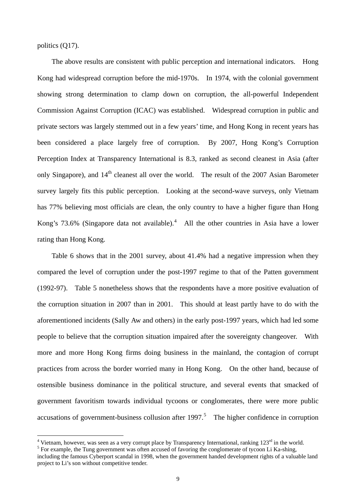<span id="page-10-0"></span>politics (Q17).

 $\overline{a}$ 

 The above results are consistent with public perception and international indicators. Hong Kong had widespread corruption before the mid-1970s. In 1974, with the colonial government showing strong determination to clamp down on corruption, the all-powerful Independent Commission Against Corruption (ICAC) was established. Widespread corruption in public and private sectors was largely stemmed out in a few years' time, and Hong Kong in recent years has been considered a place largely free of corruption. By 2007, Hong Kong's Corruption Perception Index at Transparency International is 8.3, ranked as second cleanest in Asia (after only Singapore), and  $14<sup>th</sup>$  cleanest all over the world. The result of the 2007 Asian Barometer survey largely fits this public perception. Looking at the second-wave surveys, only Vietnam has 77% believing most officials are clean, the only country to have a higher figure than Hong Kong's 73.6% (Singapore data not available).<sup>[4](#page-10-0)</sup> All the other countries in Asia have a lower rating than Hong Kong.

 Table 6 shows that in the 2001 survey, about 41.4% had a negative impression when they compared the level of corruption under the post-1997 regime to that of the Patten government (1992-97). Table 5 nonetheless shows that the respondents have a more positive evaluation of the corruption situation in 2007 than in 2001. This should at least partly have to do with the aforementioned incidents (Sally Aw and others) in the early post-1997 years, which had led some people to believe that the corruption situation impaired after the sovereignty changeover. With more and more Hong Kong firms doing business in the mainland, the contagion of corrupt practices from across the border worried many in Hong Kong. On the other hand, because of ostensible business dominance in the political structure, and several events that smacked of government favoritism towards individual tycoons or conglomerates, there were more public accusations of government-business collusion after  $1997$ <sup>[5](#page-10-0)</sup>. The higher confidence in corruption

<sup>&</sup>lt;sup>4</sup> Vietnam, however, was seen as a very corrupt place by Transparency International, ranking  $123^{\text{rd}}$  in the world.  $5 \text{ For example, the Tung government was often accepted of function the complement of the UQO$ 

<sup>&</sup>lt;sup>5</sup> For example, the Tung government was often accused of favoring the conglomerate of tycoon Li Ka-shing,

including the famous Cyberport scandal in 1998, when the government handed development rights of a valuable land project to Li's son without competitive tender.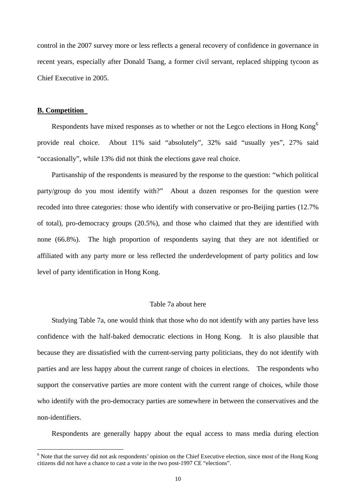<span id="page-11-0"></span>control in the 2007 survey more or less reflects a general recovery of confidence in governance in recent years, especially after Donald Tsang, a former civil servant, replaced shipping tycoon as Chief Executive in 2005.

#### **B. Competition**

 $\overline{a}$ 

Respondents have mixed responses as to whether or not the Legco elections in Hong Kong<sup>[6](#page-11-0)</sup> provide real choice. About 11% said "absolutely", 32% said "usually yes", 27% said "occasionally", while 13% did not think the elections gave real choice.

 Partisanship of the respondents is measured by the response to the question: "which political party/group do you most identify with?" About a dozen responses for the question were recoded into three categories: those who identify with conservative or pro-Beijing parties (12.7% of total), pro-democracy groups (20.5%), and those who claimed that they are identified with none (66.8%). The high proportion of respondents saying that they are not identified or affiliated with any party more or less reflected the underdevelopment of party politics and low level of party identification in Hong Kong.

#### Table 7a about here

Studying Table 7a, one would think that those who do not identify with any parties have less confidence with the half-baked democratic elections in Hong Kong. It is also plausible that because they are dissatisfied with the current-serving party politicians, they do not identify with parties and are less happy about the current range of choices in elections. The respondents who support the conservative parties are more content with the current range of choices, while those who identify with the pro-democracy parties are somewhere in between the conservatives and the non-identifiers.

Respondents are generally happy about the equal access to mass media during election

<sup>&</sup>lt;sup>6</sup> Note that the survey did not ask respondents' opinion on the Chief Executive election, since most of the Hong Kong citizens did not have a chance to cast a vote in the two post-1997 CE "elections".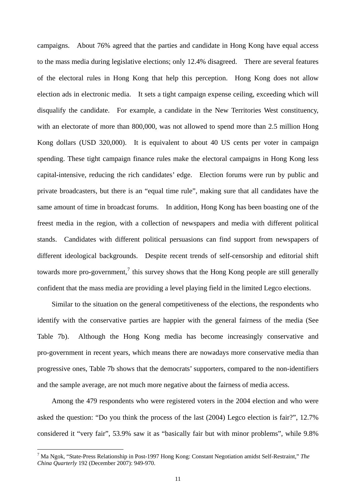<span id="page-12-0"></span>campaigns. About 76% agreed that the parties and candidate in Hong Kong have equal access to the mass media during legislative elections; only 12.4% disagreed. There are several features of the electoral rules in Hong Kong that help this perception. Hong Kong does not allow election ads in electronic media. It sets a tight campaign expense ceiling, exceeding which will disqualify the candidate. For example, a candidate in the New Territories West constituency, with an electorate of more than 800,000, was not allowed to spend more than 2.5 million Hong Kong dollars (USD 320,000). It is equivalent to about 40 US cents per voter in campaign spending. These tight campaign finance rules make the electoral campaigns in Hong Kong less capital-intensive, reducing the rich candidates' edge. Election forums were run by public and private broadcasters, but there is an "equal time rule", making sure that all candidates have the same amount of time in broadcast forums. In addition, Hong Kong has been boasting one of the freest media in the region, with a collection of newspapers and media with different political stands. Candidates with different political persuasions can find support from newspapers of different ideological backgrounds. Despite recent trends of self-censorship and editorial shift towards more pro-government,<sup>[7](#page-12-0)</sup> this survey shows that the Hong Kong people are still generally confident that the mass media are providing a level playing field in the limited Legco elections.

 Similar to the situation on the general competitiveness of the elections, the respondents who identify with the conservative parties are happier with the general fairness of the media (See Table 7b). Although the Hong Kong media has become increasingly conservative and pro-government in recent years, which means there are nowadays more conservative media than progressive ones, Table 7b shows that the democrats' supporters, compared to the non-identifiers and the sample average, are not much more negative about the fairness of media access.

 Among the 479 respondents who were registered voters in the 2004 election and who were asked the question: "Do you think the process of the last (2004) Legco election is fair?", 12.7% considered it "very fair", 53.9% saw it as "basically fair but with minor problems", while 9.8%

 $\overline{a}$ 

<sup>7</sup> Ma Ngok, "State-Press Relationship in Post-1997 Hong Kong: Constant Negotiation amidst Self-Restraint," *The China Quarterly* 192 (December 2007): 949-970.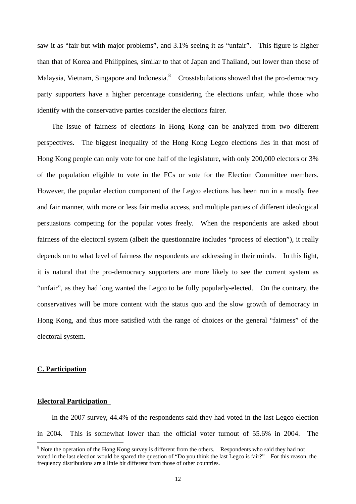<span id="page-13-0"></span>saw it as "fair but with major problems", and 3.1% seeing it as "unfair". This figure is higher than that of Korea and Philippines, similar to that of Japan and Thailand, but lower than those of Malaysia, Vietnam, Singapore and Indonesia.<sup>[8](#page-13-0)</sup> Crosstabulations showed that the pro-democracy party supporters have a higher percentage considering the elections unfair, while those who identify with the conservative parties consider the elections fairer.

 The issue of fairness of elections in Hong Kong can be analyzed from two different perspectives. The biggest inequality of the Hong Kong Legco elections lies in that most of Hong Kong people can only vote for one half of the legislature, with only 200,000 electors or 3% of the population eligible to vote in the FCs or vote for the Election Committee members. However, the popular election component of the Legco elections has been run in a mostly free and fair manner, with more or less fair media access, and multiple parties of different ideological persuasions competing for the popular votes freely. When the respondents are asked about fairness of the electoral system (albeit the questionnaire includes "process of election"), it really depends on to what level of fairness the respondents are addressing in their minds. In this light, it is natural that the pro-democracy supporters are more likely to see the current system as "unfair", as they had long wanted the Legco to be fully popularly-elected. On the contrary, the conservatives will be more content with the status quo and the slow growth of democracy in Hong Kong, and thus more satisfied with the range of choices or the general "fairness" of the electoral system.

#### **C. Participation**

 $\overline{a}$ 

#### **Electoral Participation**

 In the 2007 survey, 44.4% of the respondents said they had voted in the last Legco election in 2004. This is somewhat lower than the official voter turnout of 55.6% in 2004. The

<sup>&</sup>lt;sup>8</sup> Note the operation of the Hong Kong survey is different from the others. Respondents who said they had not voted in the last election would be spared the question of "Do you think the last Legco is fair?" For this reason, the frequency distributions are a little bit different from those of other countries.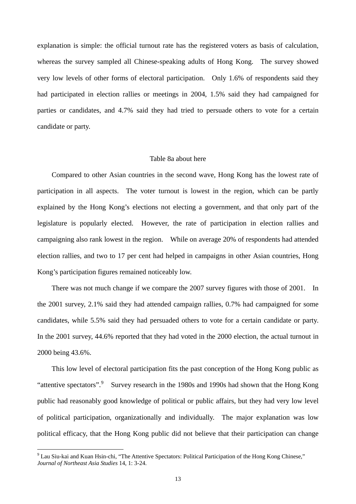<span id="page-14-0"></span>explanation is simple: the official turnout rate has the registered voters as basis of calculation, whereas the survey sampled all Chinese-speaking adults of Hong Kong. The survey showed very low levels of other forms of electoral participation. Only 1.6% of respondents said they had participated in election rallies or meetings in 2004, 1.5% said they had campaigned for parties or candidates, and 4.7% said they had tried to persuade others to vote for a certain candidate or party.

#### Table 8a about here

 Compared to other Asian countries in the second wave, Hong Kong has the lowest rate of participation in all aspects. The voter turnout is lowest in the region, which can be partly explained by the Hong Kong's elections not electing a government, and that only part of the legislature is popularly elected. However, the rate of participation in election rallies and campaigning also rank lowest in the region. While on average 20% of respondents had attended election rallies, and two to 17 per cent had helped in campaigns in other Asian countries, Hong Kong's participation figures remained noticeably low.

 There was not much change if we compare the 2007 survey figures with those of 2001. In the 2001 survey, 2.1% said they had attended campaign rallies, 0.7% had campaigned for some candidates, while 5.5% said they had persuaded others to vote for a certain candidate or party. In the 2001 survey, 44.6% reported that they had voted in the 2000 election, the actual turnout in 2000 being 43.6%.

 This low level of electoral participation fits the past conception of the Hong Kong public as "attentive spectators".<sup>[9](#page-14-0)</sup> Survey research in the 1980s and 1990s had shown that the Hong Kong public had reasonably good knowledge of political or public affairs, but they had very low level of political participation, organizationally and individually. The major explanation was low political efficacy, that the Hong Kong public did not believe that their participation can change

 $\overline{a}$ 

<sup>&</sup>lt;sup>9</sup> Lau Siu-kai and Kuan Hsin-chi, "The Attentive Spectators: Political Participation of the Hong Kong Chinese," *Journal of Northeast Asia Studies* 14, 1: 3-24.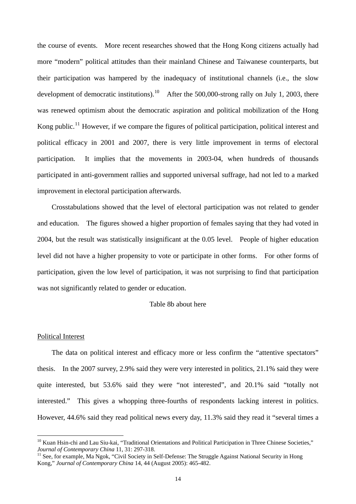<span id="page-15-0"></span>the course of events. More recent researches showed that the Hong Kong citizens actually had more "modern" political attitudes than their mainland Chinese and Taiwanese counterparts, but their participation was hampered by the inadequacy of institutional channels (i.e., the slow development of democratic institutions).<sup>[10](#page-15-0)</sup> After the 500,000-strong rally on July 1, 2003, there was renewed optimism about the democratic aspiration and political mobilization of the Hong Kong public.<sup>[11](#page-15-0)</sup> However, if we compare the figures of political participation, political interest and political efficacy in 2001 and 2007, there is very little improvement in terms of electoral participation. It implies that the movements in 2003-04, when hundreds of thousands participated in anti-government rallies and supported universal suffrage, had not led to a marked improvement in electoral participation afterwards.

 Crosstabulations showed that the level of electoral participation was not related to gender and education. The figures showed a higher proportion of females saying that they had voted in 2004, but the result was statistically insignificant at the 0.05 level. People of higher education level did not have a higher propensity to vote or participate in other forms. For other forms of participation, given the low level of participation, it was not surprising to find that participation was not significantly related to gender or education.

#### Table 8b about here

#### Political Interest

 $\overline{a}$ 

 The data on political interest and efficacy more or less confirm the "attentive spectators" thesis. In the 2007 survey, 2.9% said they were very interested in politics, 21.1% said they were quite interested, but 53.6% said they were "not interested", and 20.1% said "totally not interested." This gives a whopping three-fourths of respondents lacking interest in politics. However, 44.6% said they read political news every day, 11.3% said they read it "several times a

<sup>&</sup>lt;sup>10</sup> Kuan Hsin-chi and Lau Siu-kai, "Traditional Orientations and Political Participation in Three Chinese Societies," *Journal of Contemporary China* 11, 31: 297-318.<br><sup>11</sup> See, for example, Ma Ngok, "Civil Society in Self-Defense: The Struggle Against National Security in Hong

Kong," *Journal of Contemporary China* 14, 44 (August 2005): 465-482.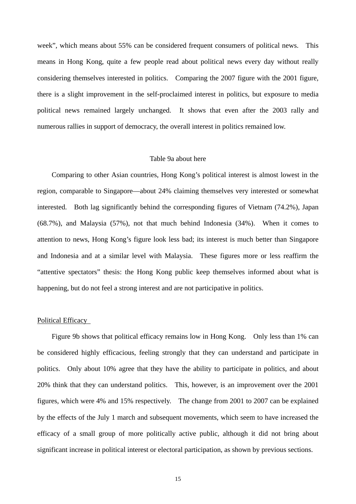week", which means about 55% can be considered frequent consumers of political news. This means in Hong Kong, quite a few people read about political news every day without really considering themselves interested in politics. Comparing the 2007 figure with the 2001 figure, there is a slight improvement in the self-proclaimed interest in politics, but exposure to media political news remained largely unchanged. It shows that even after the 2003 rally and numerous rallies in support of democracy, the overall interest in politics remained low.

#### Table 9a about here

 Comparing to other Asian countries, Hong Kong's political interest is almost lowest in the region, comparable to Singapore—about 24% claiming themselves very interested or somewhat interested. Both lag significantly behind the corresponding figures of Vietnam (74.2%), Japan (68.7%), and Malaysia (57%), not that much behind Indonesia (34%). When it comes to attention to news, Hong Kong's figure look less bad; its interest is much better than Singapore and Indonesia and at a similar level with Malaysia. These figures more or less reaffirm the "attentive spectators" thesis: the Hong Kong public keep themselves informed about what is happening, but do not feel a strong interest and are not participative in politics.

#### Political Efficacy

 Figure 9b shows that political efficacy remains low in Hong Kong. Only less than 1% can be considered highly efficacious, feeling strongly that they can understand and participate in politics. Only about 10% agree that they have the ability to participate in politics, and about 20% think that they can understand politics. This, however, is an improvement over the 2001 figures, which were 4% and 15% respectively. The change from 2001 to 2007 can be explained by the effects of the July 1 march and subsequent movements, which seem to have increased the efficacy of a small group of more politically active public, although it did not bring about significant increase in political interest or electoral participation, as shown by previous sections.

15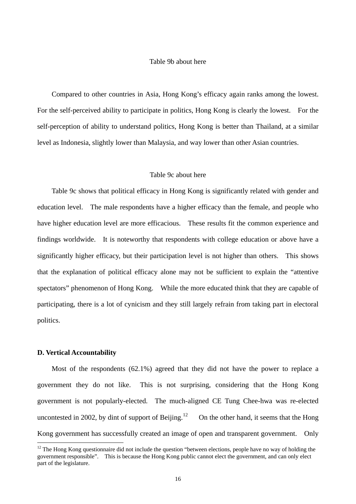#### Table 9b about here

<span id="page-17-0"></span> Compared to other countries in Asia, Hong Kong's efficacy again ranks among the lowest. For the self-perceived ability to participate in politics, Hong Kong is clearly the lowest. For the self-perception of ability to understand politics, Hong Kong is better than Thailand, at a similar level as Indonesia, slightly lower than Malaysia, and way lower than other Asian countries.

#### Table 9c about here

 Table 9c shows that political efficacy in Hong Kong is significantly related with gender and education level. The male respondents have a higher efficacy than the female, and people who have higher education level are more efficacious. These results fit the common experience and findings worldwide. It is noteworthy that respondents with college education or above have a significantly higher efficacy, but their participation level is not higher than others. This shows that the explanation of political efficacy alone may not be sufficient to explain the "attentive spectators" phenomenon of Hong Kong. While the more educated think that they are capable of participating, there is a lot of cynicism and they still largely refrain from taking part in electoral politics.

#### **D. Vertical Accountability**

 $\overline{a}$ 

 Most of the respondents (62.1%) agreed that they did not have the power to replace a government they do not like. This is not surprising, considering that the Hong Kong government is not popularly-elected. The much-aligned CE Tung Chee-hwa was re-elected uncontested in 2002, by dint of support of Beijing.<sup>[12](#page-17-0)</sup> On the other hand, it seems that the Hong Kong government has successfully created an image of open and transparent government. Only

 $12$  The Hong Kong questionnaire did not include the question "between elections, people have no way of holding the government responsible". This is because the Hong Kong public cannot elect the government, and can only elect part of the legislature.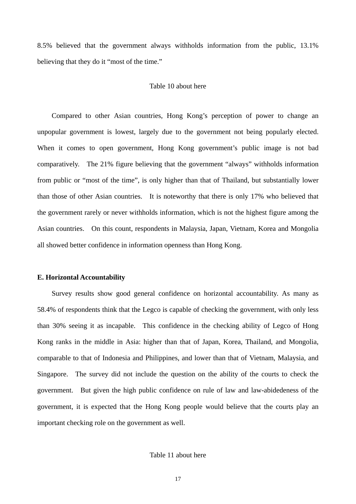8.5% believed that the government always withholds information from the public, 13.1% believing that they do it "most of the time."

#### Table 10 about here

 Compared to other Asian countries, Hong Kong's perception of power to change an unpopular government is lowest, largely due to the government not being popularly elected. When it comes to open government, Hong Kong government's public image is not bad comparatively. The 21% figure believing that the government "always" withholds information from public or "most of the time", is only higher than that of Thailand, but substantially lower than those of other Asian countries. It is noteworthy that there is only 17% who believed that the government rarely or never withholds information, which is not the highest figure among the Asian countries. On this count, respondents in Malaysia, Japan, Vietnam, Korea and Mongolia all showed better confidence in information openness than Hong Kong.

#### **E. Horizontal Accountability**

 Survey results show good general confidence on horizontal accountability. As many as 58.4% of respondents think that the Legco is capable of checking the government, with only less than 30% seeing it as incapable. This confidence in the checking ability of Legco of Hong Kong ranks in the middle in Asia: higher than that of Japan, Korea, Thailand, and Mongolia, comparable to that of Indonesia and Philippines, and lower than that of Vietnam, Malaysia, and Singapore. The survey did not include the question on the ability of the courts to check the government. But given the high public confidence on rule of law and law-abidedeness of the government, it is expected that the Hong Kong people would believe that the courts play an important checking role on the government as well.

#### Table 11 about here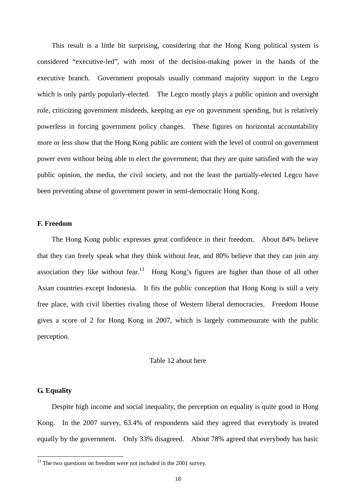<span id="page-19-0"></span> This result is a little bit surprising, considering that the Hong Kong political system is considered "executive-led", with most of the decision-making power in the hands of the executive branch. Government proposals usually command majority support in the Legco which is only partly popularly-elected. The Legco mostly plays a public opinion and oversight role, criticizing government misdeeds, keeping an eye on government spending, but is relatively powerless in forcing government policy changes. These figures on horizontal accountability more or less show that the Hong Kong public are content with the level of control on government power even without being able to elect the government; that they are quite satisfied with the way public opinion, the media, the civil society, and not the least the partially-elected Legco have been preventing abuse of government power in semi-democratic Hong Kong.

#### **F. Freedom**

 The Hong Kong public expresses great confidence in their freedom. About 84% believe that they can freely speak what they think without fear, and 80% believe that they can join any association they like without fear.<sup>[13](#page-19-0)</sup> Hong Kong's figures are higher than those of all other Asian countries except Indonesia. It fits the public conception that Hong Kong is still a very free place, with civil liberties rivaling those of Western liberal democracies. Freedom House gives a score of 2 for Hong Kong in 2007, which is largely commensurate with the public perception.

#### Table 12 about here

#### **G. Equality**

 $\overline{a}$ 

 Despite high income and social inequality, the perception on equality is quite good in Hong Kong. In the 2007 survey, 63.4% of respondents said they agreed that everybody is treated equally by the government. Only 33% disagreed. About 78% agreed that everybody has basic

 $13$  The two questions on freedom were not included in the 2001 survey.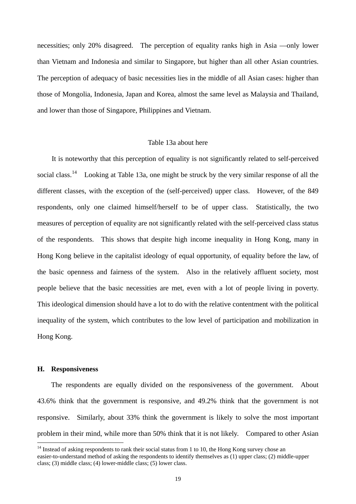<span id="page-20-0"></span>necessities; only 20% disagreed. The perception of equality ranks high in Asia —only lower than Vietnam and Indonesia and similar to Singapore, but higher than all other Asian countries. The perception of adequacy of basic necessities lies in the middle of all Asian cases: higher than those of Mongolia, Indonesia, Japan and Korea, almost the same level as Malaysia and Thailand, and lower than those of Singapore, Philippines and Vietnam.

#### Table 13a about here

 It is noteworthy that this perception of equality is not significantly related to self-perceived social class.<sup>[14](#page-20-0)</sup> Looking at Table 13a, one might be struck by the very similar response of all the different classes, with the exception of the (self-perceived) upper class. However, of the 849 respondents, only one claimed himself/herself to be of upper class. Statistically, the two measures of perception of equality are not significantly related with the self-perceived class status of the respondents. This shows that despite high income inequality in Hong Kong, many in Hong Kong believe in the capitalist ideology of equal opportunity, of equality before the law, of the basic openness and fairness of the system. Also in the relatively affluent society, most people believe that the basic necessities are met, even with a lot of people living in poverty. This ideological dimension should have a lot to do with the relative contentment with the political inequality of the system, which contributes to the low level of participation and mobilization in Hong Kong.

#### **H. Responsiveness**

 $\overline{a}$ 

The respondents are equally divided on the responsiveness of the government. About 43.6% think that the government is responsive, and 49.2% think that the government is not responsive. Similarly, about 33% think the government is likely to solve the most important problem in their mind, while more than 50% think that it is not likely. Compared to other Asian

 $14$  Instead of asking respondents to rank their social status from 1 to 10, the Hong Kong survey chose an easier-to-understand method of asking the respondents to identify themselves as (1) upper class; (2) middle-upper class; (3) middle class; (4) lower-middle class; (5) lower class.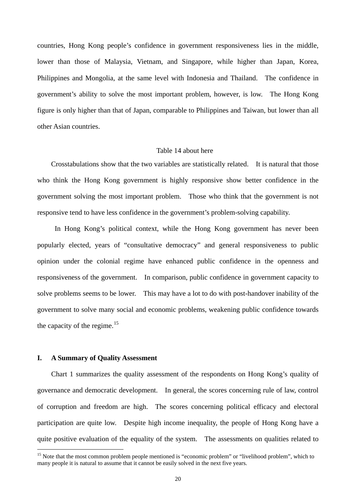<span id="page-21-0"></span>countries, Hong Kong people's confidence in government responsiveness lies in the middle, lower than those of Malaysia, Vietnam, and Singapore, while higher than Japan, Korea, Philippines and Mongolia, at the same level with Indonesia and Thailand. The confidence in government's ability to solve the most important problem, however, is low. The Hong Kong figure is only higher than that of Japan, comparable to Philippines and Taiwan, but lower than all other Asian countries.

#### Table 14 about here

Crosstabulations show that the two variables are statistically related. It is natural that those who think the Hong Kong government is highly responsive show better confidence in the government solving the most important problem. Those who think that the government is not responsive tend to have less confidence in the government's problem-solving capability.

 In Hong Kong's political context, while the Hong Kong government has never been popularly elected, years of "consultative democracy" and general responsiveness to public opinion under the colonial regime have enhanced public confidence in the openness and responsiveness of the government. In comparison, public confidence in government capacity to solve problems seems to be lower. This may have a lot to do with post-handover inability of the government to solve many social and economic problems, weakening public confidence towards the capacity of the regime.<sup>[15](#page-21-0)</sup>

#### **I. A Summary of Quality Assessment**

 $\overline{a}$ 

Chart 1 summarizes the quality assessment of the respondents on Hong Kong's quality of governance and democratic development. In general, the scores concerning rule of law, control of corruption and freedom are high. The scores concerning political efficacy and electoral participation are quite low. Despite high income inequality, the people of Hong Kong have a quite positive evaluation of the equality of the system. The assessments on qualities related to

<sup>&</sup>lt;sup>15</sup> Note that the most common problem people mentioned is "economic problem" or "livelihood problem", which to many people it is natural to assume that it cannot be easily solved in the next five years.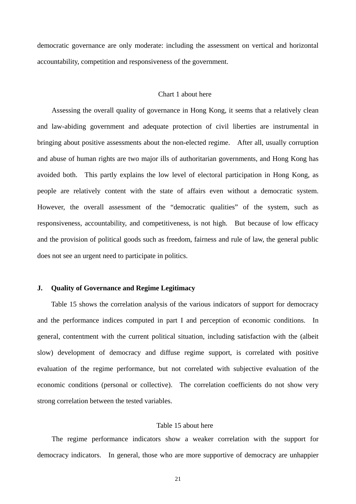democratic governance are only moderate: including the assessment on vertical and horizontal accountability, competition and responsiveness of the government.

#### Chart 1 about here

 Assessing the overall quality of governance in Hong Kong, it seems that a relatively clean and law-abiding government and adequate protection of civil liberties are instrumental in bringing about positive assessments about the non-elected regime. After all, usually corruption and abuse of human rights are two major ills of authoritarian governments, and Hong Kong has avoided both. This partly explains the low level of electoral participation in Hong Kong, as people are relatively content with the state of affairs even without a democratic system. However, the overall assessment of the "democratic qualities" of the system, such as responsiveness, accountability, and competitiveness, is not high. But because of low efficacy and the provision of political goods such as freedom, fairness and rule of law, the general public does not see an urgent need to participate in politics.

#### **J. Quality of Governance and Regime Legitimacy**

Table 15 shows the correlation analysis of the various indicators of support for democracy and the performance indices computed in part I and perception of economic conditions. In general, contentment with the current political situation, including satisfaction with the (albeit slow) development of democracy and diffuse regime support, is correlated with positive evaluation of the regime performance, but not correlated with subjective evaluation of the economic conditions (personal or collective). The correlation coefficients do not show very strong correlation between the tested variables.

#### Table 15 about here

 The regime performance indicators show a weaker correlation with the support for democracy indicators. In general, those who are more supportive of democracy are unhappier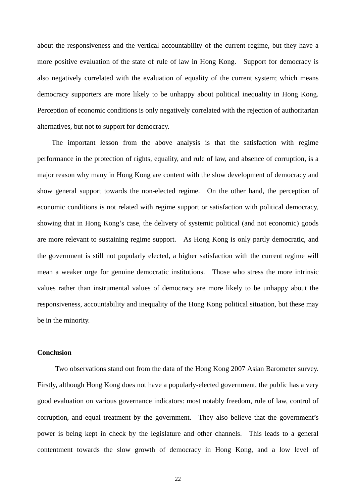about the responsiveness and the vertical accountability of the current regime, but they have a more positive evaluation of the state of rule of law in Hong Kong. Support for democracy is also negatively correlated with the evaluation of equality of the current system; which means democracy supporters are more likely to be unhappy about political inequality in Hong Kong. Perception of economic conditions is only negatively correlated with the rejection of authoritarian alternatives, but not to support for democracy.

 The important lesson from the above analysis is that the satisfaction with regime performance in the protection of rights, equality, and rule of law, and absence of corruption, is a major reason why many in Hong Kong are content with the slow development of democracy and show general support towards the non-elected regime. On the other hand, the perception of economic conditions is not related with regime support or satisfaction with political democracy, showing that in Hong Kong's case, the delivery of systemic political (and not economic) goods are more relevant to sustaining regime support. As Hong Kong is only partly democratic, and the government is still not popularly elected, a higher satisfaction with the current regime will mean a weaker urge for genuine democratic institutions. Those who stress the more intrinsic values rather than instrumental values of democracy are more likely to be unhappy about the responsiveness, accountability and inequality of the Hong Kong political situation, but these may be in the minority.

#### **Conclusion**

Two observations stand out from the data of the Hong Kong 2007 Asian Barometer survey. Firstly, although Hong Kong does not have a popularly-elected government, the public has a very good evaluation on various governance indicators: most notably freedom, rule of law, control of corruption, and equal treatment by the government. They also believe that the government's power is being kept in check by the legislature and other channels. This leads to a general contentment towards the slow growth of democracy in Hong Kong, and a low level of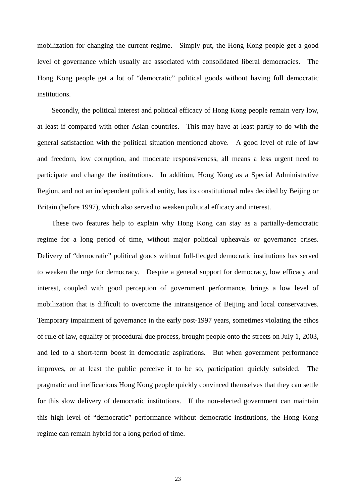mobilization for changing the current regime. Simply put, the Hong Kong people get a good level of governance which usually are associated with consolidated liberal democracies. The Hong Kong people get a lot of "democratic" political goods without having full democratic institutions.

 Secondly, the political interest and political efficacy of Hong Kong people remain very low, at least if compared with other Asian countries. This may have at least partly to do with the general satisfaction with the political situation mentioned above. A good level of rule of law and freedom, low corruption, and moderate responsiveness, all means a less urgent need to participate and change the institutions. In addition, Hong Kong as a Special Administrative Region, and not an independent political entity, has its constitutional rules decided by Beijing or Britain (before 1997), which also served to weaken political efficacy and interest.

 These two features help to explain why Hong Kong can stay as a partially-democratic regime for a long period of time, without major political upheavals or governance crises. Delivery of "democratic" political goods without full-fledged democratic institutions has served to weaken the urge for democracy. Despite a general support for democracy, low efficacy and interest, coupled with good perception of government performance, brings a low level of mobilization that is difficult to overcome the intransigence of Beijing and local conservatives. Temporary impairment of governance in the early post-1997 years, sometimes violating the ethos of rule of law, equality or procedural due process, brought people onto the streets on July 1, 2003, and led to a short-term boost in democratic aspirations. But when government performance improves, or at least the public perceive it to be so, participation quickly subsided. The pragmatic and inefficacious Hong Kong people quickly convinced themselves that they can settle for this slow delivery of democratic institutions. If the non-elected government can maintain this high level of "democratic" performance without democratic institutions, the Hong Kong regime can remain hybrid for a long period of time.

23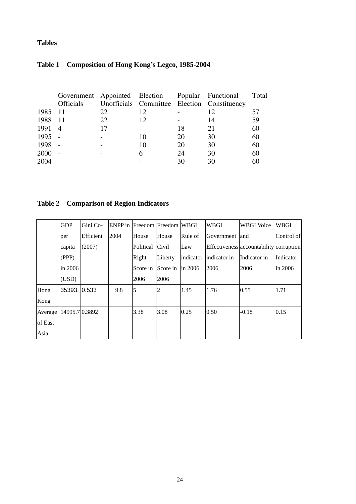## **Tables**

|         | Government Appointed Election Popular Functional<br><b>Officials</b> |    |    |    | Unofficials Committee Election Constituency | Total |
|---------|----------------------------------------------------------------------|----|----|----|---------------------------------------------|-------|
| 1985 11 |                                                                      | 22 | 12 |    | 12                                          | 57    |
| 1988    | - 11                                                                 | 22 | 12 |    | 14                                          | 59    |
| 1991 4  |                                                                      | 17 |    | 18 | 21                                          | 60    |
| 1995    |                                                                      |    | 10 | 20 | 30                                          | 60    |
| 1998    |                                                                      |    | 10 | 20 | 30                                          | 60    |
| 2000    |                                                                      |    | 6  | 24 | 30                                          | 60    |
| 2004    |                                                                      |    |    | 30 | 30                                          | 60    |

# **Table 1 Composition of Hong Kong's Legco, 1985-2004**

# **Table 2 Comparison of Region Indicators**

|         | <b>GDP</b>     | Gini Co-  |      | <b>ENPP</b> in Freedom Freedom WBGI |                |           | <b>WBGI</b>    | <b>WBGI</b> Voice                       | <b>WBGI</b> |
|---------|----------------|-----------|------|-------------------------------------|----------------|-----------|----------------|-----------------------------------------|-------------|
|         | per            | Efficient | 2004 | House                               | House          | Rule of   | Government and |                                         | Control of  |
|         | capita         | (2007)    |      | Political                           | Civil          | Law       |                | Effectiveness accountability corruption |             |
|         | (PPP)          |           |      | Right                               | Liberty        | indicator | indicator in   | Indicator in                            | Indicator   |
|         | in 2006        |           |      | Score in                            | Score in       | in 2006   | 2006           | 2006                                    | in 2006     |
|         | (USD)          |           |      | 2006                                | 2006           |           |                |                                         |             |
| Hong    | 35393. 0.533   |           | 9.8  | $\overline{5}$                      | $\overline{2}$ | 1.45      | 1.76           | 0.55                                    | 1.71        |
| Kong    |                |           |      |                                     |                |           |                |                                         |             |
| Average | 14995.7 0.3892 |           |      | 3.38                                | 3.08           | 0.25      | 0.50           | $-0.18$                                 | 0.15        |
| of East |                |           |      |                                     |                |           |                |                                         |             |
| Asia    |                |           |      |                                     |                |           |                |                                         |             |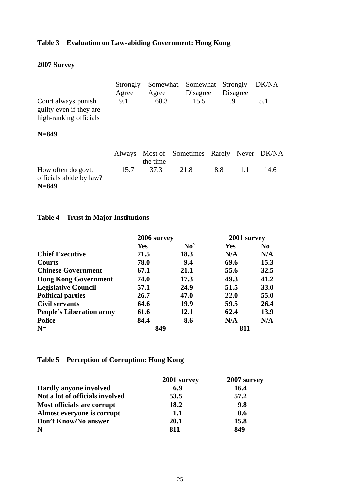## **Table 3 Evaluation on Law-abiding Government: Hong Kong**

# **2007 Survey**

| Court always punish<br>guilty even if they are<br>high-ranking officials | Strongly<br>Agree<br>9.1 | Somewhat<br>Agree<br>68.3 | Somewhat<br>Disagree<br>15.5         | 1.9 | Strongly<br>Disagree | DK/NA<br>5.1 |
|--------------------------------------------------------------------------|--------------------------|---------------------------|--------------------------------------|-----|----------------------|--------------|
| $N = 849$                                                                |                          |                           |                                      |     |                      |              |
|                                                                          | Always                   | the time                  | Most of Sometimes Rarely Never DK/NA |     |                      |              |
| How often do govt.<br>officials abide by law?<br>$N = 849$               | 15.7                     | 37.3                      | 21.8                                 | 8.8 | 1.1                  | 14.6         |

## **Table 4 Trust in Major Institutions**

|                                 | 2006 survey |                | 2001 survey |                |
|---------------------------------|-------------|----------------|-------------|----------------|
|                                 | <b>Yes</b>  | $No^{\dagger}$ | <b>Yes</b>  | N <sub>0</sub> |
| <b>Chief Executive</b>          | 71.5        | 18.3           | N/A         | N/A            |
| <b>Courts</b>                   | 78.0        | 9.4            | 69.6        | 15.3           |
| <b>Chinese Government</b>       | 67.1        | 21.1           | 55.6        | 32.5           |
| <b>Hong Kong Government</b>     | 74.0        | 17.3           | 49.3        | 41.2           |
| <b>Legislative Council</b>      | 57.1        | 24.9           | 51.5        | <b>33.0</b>    |
| <b>Political parties</b>        | 26.7        | 47.0           | 22.0        | 55.0           |
| <b>Civil servants</b>           | 64.6        | 19.9           | 59.5        | 26.4           |
| <b>People's Liberation army</b> | 61.6        | 12.1           | 62.4        | 13.9           |
| <b>Police</b>                   | 84.4        | 8.6            | N/A         | N/A            |
| $N=$                            | 849         |                | 811         |                |

# **Table 5 Perception of Corruption: Hong Kong**

|                                 | 2001 survey | 2007 survey |
|---------------------------------|-------------|-------------|
| <b>Hardly anyone involved</b>   | 6.9         | 16.4        |
| Not a lot of officials involved | 53.5        | 57.2        |
| Most officials are corrupt      | 18.2        | 9.8         |
| Almost everyone is corrupt      | 1.1         | 0.6         |
| Don't Know/No answer            | 20.1        | 15.8        |
| N                               | 811         | 849         |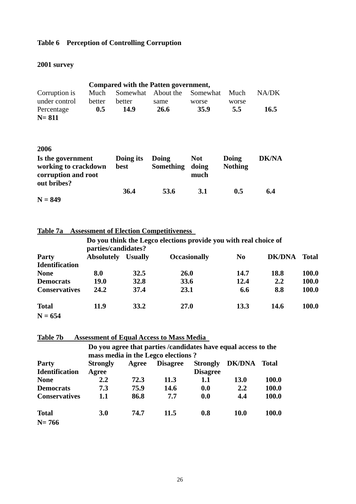## **Table 6 Perception of Controlling Corruption**

# **2001 survey**

|                                                                                 |        |                   | Compared with the Patten government,                             |                             |                         |              |
|---------------------------------------------------------------------------------|--------|-------------------|------------------------------------------------------------------|-----------------------------|-------------------------|--------------|
| Corruption is                                                                   | Much   |                   | Somewhat About the                                               | Somewhat                    | Much                    | NA/DK        |
| under control                                                                   | better | better            | same                                                             | worse                       | worse                   |              |
| Percentage                                                                      | 0.5    | 14.9              | <b>26.6</b>                                                      | 35.9                        | 5.5                     | 16.5         |
| N= 811                                                                          |        |                   |                                                                  |                             |                         |              |
|                                                                                 |        |                   |                                                                  |                             |                         |              |
| 2006                                                                            |        |                   |                                                                  |                             |                         |              |
| Is the government<br>working to crackdown<br>corruption and root<br>out bribes? |        | Doing its<br>best | Doing<br><b>Something</b>                                        | <b>Not</b><br>doing<br>much | Doing<br><b>Nothing</b> | <b>DK/NA</b> |
| $N = 849$                                                                       |        | 36.4              | 53.6                                                             | 3.1                         | 0.5                     | 6.4          |
|                                                                                 |        |                   |                                                                  |                             |                         |              |
| Table 7a                                                                        |        |                   | <b>Assessment of Election Competitiveness</b>                    |                             |                         |              |
|                                                                                 |        |                   | Do you think the Legco elections provide you with real choice of |                             |                         |              |

|                       | parties/candidates? |                |                     |                |               |              |  |
|-----------------------|---------------------|----------------|---------------------|----------------|---------------|--------------|--|
| Party                 | <b>Absolutely</b>   | <b>Usually</b> | <b>Occasionally</b> | N <sub>0</sub> | <b>DK/DNA</b> | <b>Total</b> |  |
| <b>Identification</b> |                     |                |                     |                |               |              |  |
| <b>None</b>           | 8.0                 | 32.5           | <b>26.0</b>         | 14.7           | 18.8          | 100.0        |  |
| <b>Democrats</b>      | <b>19.0</b>         | 32.8           | 33.6                | 12.4           | 2.2           | 100.0        |  |
| <b>Conservatives</b>  | 24.2                | 37.4           | 23.1                | 6.6            | 8.8           | 100.0        |  |
| <b>Total</b>          | 11.9                | 33.2           | <b>27.0</b>         | 13.3           | 14.6          | 100.0        |  |
| $N = 654$             |                     |                |                     |                |               |              |  |

**Table 7b Assessment of Equal Access to Mass Media** 

|                       | Do you agree that parties / candidates have equal access to the |       |                                    |                 |               |              |  |
|-----------------------|-----------------------------------------------------------------|-------|------------------------------------|-----------------|---------------|--------------|--|
|                       |                                                                 |       | mass media in the Legco elections? |                 |               |              |  |
| <b>Party</b>          | <b>Strongly</b>                                                 | Agree | <b>Disagree</b>                    | <b>Strongly</b> | <b>DK/DNA</b> | <b>Total</b> |  |
| <b>Identification</b> | Agree                                                           |       |                                    | <b>Disagree</b> |               |              |  |
| <b>None</b>           | $2.2\,$                                                         | 72.3  | 11.3                               | 1.1             | <b>13.0</b>   | 100.0        |  |
| <b>Democrats</b>      | 7.3                                                             | 75.9  | 14.6                               | 0.0             | 2.2           | 100.0        |  |
| <b>Conservatives</b>  | 1.1                                                             | 86.8  | 7.7                                | 0.0             | 4.4           | <b>100.0</b> |  |
| <b>Total</b>          | <b>3.0</b>                                                      | 74.7  | 11.5                               | 0.8             | <b>10.0</b>   | <b>100.0</b> |  |
| $N = 766$             |                                                                 |       |                                    |                 |               |              |  |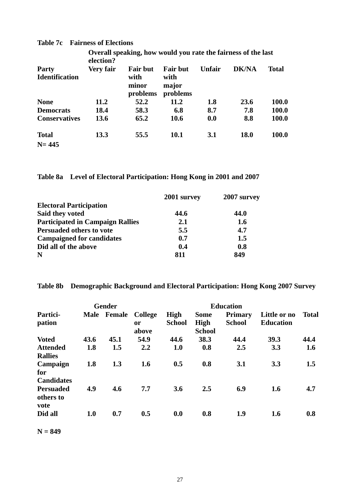|                                       | election? | Overall speaking, how would you rate the fairness of the last |                                              |        |              | <b>Total</b> |
|---------------------------------------|-----------|---------------------------------------------------------------|----------------------------------------------|--------|--------------|--------------|
| <b>Party</b><br><b>Identification</b> | Very fair | <b>Fair but</b><br>with<br>minor<br>problems                  | <b>Fair but</b><br>with<br>major<br>problems | Unfair | <b>DK/NA</b> |              |
| <b>None</b>                           | 11.2      | 52.2                                                          | 11.2                                         | 1.8    | 23.6         | 100.0        |
| <b>Democrats</b>                      | 18.4      | 58.3                                                          | 6.8                                          | 8.7    | 7.8          | <b>100.0</b> |
| <b>Conservatives</b>                  | 13.6      | 65.2                                                          | 10.6                                         | 0.0    | 8.8          | <b>100.0</b> |
| <b>Total</b>                          | 13.3      | 55.5                                                          | 10.1                                         | 3.1    | <b>18.0</b>  | <b>100.0</b> |
| $N = 445$                             |           |                                                               |                                              |        |              |              |

#### **Table 7c Fairness of Elections**

**Table 8a Level of Electoral Participation: Hong Kong in 2001 and 2007** 

|                                         | 2001 survey | 2007 survey |
|-----------------------------------------|-------------|-------------|
| <b>Electoral Participation</b>          |             |             |
| Said they voted                         | 44.6        | 44.0        |
| <b>Participated in Campaign Rallies</b> | 2.1         | 1.6         |
| <b>Persuaded others to vote</b>         | 5.5         | 4.7         |
| <b>Campaigned for candidates</b>        | 0.7         | 1.5         |
| Did all of the above                    | 0.4         | 0.8         |
| N                                       | 811         | 849         |

## **Table 8b Demographic Background and Electoral Participation: Hong Kong 2007 Survey**

| <b>Gender</b>                         |             |        |                                          | <b>Education</b>      |                                             |                                 |                                  |              |
|---------------------------------------|-------------|--------|------------------------------------------|-----------------------|---------------------------------------------|---------------------------------|----------------------------------|--------------|
| Partici-<br>pation                    | <b>Male</b> | Female | <b>College</b><br><sub>or</sub><br>above | High<br><b>School</b> | <b>Some</b><br><b>High</b><br><b>School</b> | <b>Primary</b><br><b>School</b> | Little or no<br><b>Education</b> | <b>Total</b> |
| <b>Voted</b>                          | 43.6        | 45.1   | 54.9                                     | 44.6                  | 38.3                                        | 44.4                            | 39.3                             | 44.4         |
| <b>Attended</b><br><b>Rallies</b>     | 1.8         | 1.5    | 2.2                                      | 1.0                   | 0.8                                         | 2.5                             | 3.3                              | 1.6          |
| Campaign<br>for<br><b>Candidates</b>  | 1.8         | 1.3    | 1.6                                      | 0.5                   | 0.8                                         | 3.1                             | 3.3                              | 1.5          |
| <b>Persuaded</b><br>others to<br>vote | 4.9         | 4.6    | 7.7                                      | 3.6                   | 2.5                                         | 6.9                             | 1.6                              | 4.7          |
| Did all                               | 1.0         | 0.7    | 0.5                                      | 0.0                   | 0.8                                         | 1.9                             | 1.6                              | 0.8          |

**N = 849**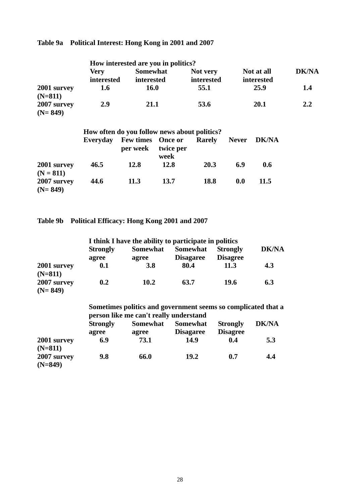# **Table 9a Political Interest: Hong Kong in 2001 and 2007**

| How interested are you in politics? |                                              |                               |                                     |                        |              |                          |              |  |
|-------------------------------------|----------------------------------------------|-------------------------------|-------------------------------------|------------------------|--------------|--------------------------|--------------|--|
|                                     | <b>Very</b><br>interested                    | <b>Somewhat</b><br>interested |                                     | Not very<br>interested |              | Not at all<br>interested | <b>DK/NA</b> |  |
| 2001 survey<br>$(N=811)$            | 1.6                                          | <b>16.0</b>                   |                                     | 55.1                   | 25.9         |                          | 1.4          |  |
| 2007 survey<br>$(N=849)$            | <b>2.9</b>                                   | 21.1                          |                                     | 53.6                   |              | 20.1                     | 2.2          |  |
|                                     | How often do you follow news about politics? |                               |                                     |                        |              |                          |              |  |
|                                     | Everyday                                     | <b>Few times</b><br>per week  | <b>Once or</b><br>twice per<br>week | Rarely                 | <b>Never</b> | <b>DK/NA</b>             |              |  |
| 2001 survey<br>$(N = 811)$          | 46.5                                         | 12.8                          | 12.8                                | 20.3                   | 6.9          | 0.6                      |              |  |
| 2007 survey<br>$(N=849)$            | 44.6                                         | 11.3                          | 13.7                                | 18.8                   | 0.0          | 11.5                     |              |  |

**Table 9b Political Efficacy: Hong Kong 2001 and 2007** 

|                          |                 | I think I have the ability to participate in politics                                                   |                  |                 |              |
|--------------------------|-----------------|---------------------------------------------------------------------------------------------------------|------------------|-----------------|--------------|
|                          | <b>Strongly</b> | <b>Somewhat</b>                                                                                         | <b>Somewhat</b>  | <b>Strongly</b> | <b>DK/NA</b> |
|                          | agree           | agree                                                                                                   | <b>Disagaree</b> | <b>Disagree</b> |              |
| 2001 survey<br>$(N=811)$ | 0.1             | 3.8                                                                                                     | 80.4             | 11.3            | 4.3          |
| 2007 survey<br>$(N=849)$ | 0.2             | 10.2                                                                                                    | 63.7             | 19.6            | 6.3          |
|                          |                 | Sometimes politics and government seems so complicated that a<br>person like me can't really understand |                  |                 |              |
|                          | <b>Strongly</b> | <b>Somewhat</b>                                                                                         | <b>Somewhat</b>  | <b>Strongly</b> | <b>DK/NA</b> |
|                          | agree           | agree                                                                                                   | <b>Disagaree</b> | <b>Disagree</b> |              |
| 2001 survey<br>$(N=811)$ | 6.9             | 73.1                                                                                                    | 14.9             | 0.4             | 5.3          |
| 2007 survey<br>$(N=849)$ | 9.8             | 66.0                                                                                                    | 19.2             | 0.7             | 4.4          |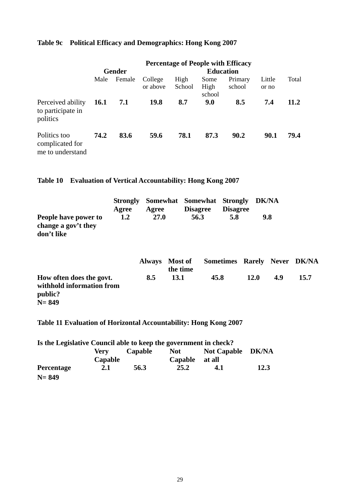## **Table 9c Political Efficacy and Demographics: Hong Kong 2007**

|                                                     | <b>Percentage of People with Efficacy</b> |               |                     |                  |                        |                   |                 |       |  |
|-----------------------------------------------------|-------------------------------------------|---------------|---------------------|------------------|------------------------|-------------------|-----------------|-------|--|
|                                                     |                                           | <b>Gender</b> |                     | <b>Education</b> |                        |                   |                 |       |  |
|                                                     | Male                                      | Female        | College<br>or above | High<br>School   | Some<br>High<br>school | Primary<br>school | Little<br>or no | Total |  |
| Perceived ability<br>to participate in<br>politics  | <b>16.1</b>                               | 7.1           | 19.8                | 8.7              | 9.0                    | 8.5               | 7.4             | 11.2  |  |
| Politics too<br>complicated for<br>me to understand | 74.2                                      | 83.6          | 59.6                | 78.1             | 87.3                   | 90.2              | 90.1            | 79.4  |  |

**Table 10 Evaluation of Vertical Accountability: Hong Kong 2007** 

|                      |       | Strongly Somewhat Somewhat Strongly DK/NA |                 |                 |     |
|----------------------|-------|-------------------------------------------|-----------------|-----------------|-----|
|                      | Agree | Agree                                     | <b>Disagree</b> | <b>Disagree</b> |     |
| People have power to | 1.2   | <b>27.0</b>                               | 56.3            | 5.8             | 9.8 |
| change a gov't they  |       |                                           |                 |                 |     |
| don't like           |       |                                           |                 |                 |     |

|                                                                               |     | Always Most of<br>the time | Sometimes Rarely Never DK/NA |             |     |      |
|-------------------------------------------------------------------------------|-----|----------------------------|------------------------------|-------------|-----|------|
| How often does the govt.<br>withhold information from<br>public?<br>$N = 849$ | 8.5 | <b>13.1</b>                | 45.8                         | <b>12.0</b> | 4.9 | 15.7 |

# **Table 11 Evaluation of Horizontal Accountability: Hong Kong 2007**

| Is the Legislative Council able to keep the government in check? |         |         |         |                   |      |
|------------------------------------------------------------------|---------|---------|---------|-------------------|------|
|                                                                  | Verv    | Capable | Not     | Not Capable DK/NA |      |
|                                                                  | Capable |         | Capable | at all            |      |
| <b>Percentage</b>                                                | 2.1     | 56.3    | 25.2    | 4.1               | 12.3 |
| $N = 849$                                                        |         |         |         |                   |      |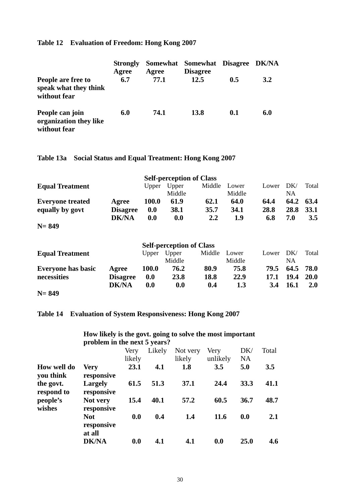### **Table 12 Evaluation of Freedom: Hong Kong 2007**

|                                                             | <b>Strongly</b><br>Agree | Agree | Somewhat Somewhat Disagree DK/NA<br><b>Disagree</b> |     |     |
|-------------------------------------------------------------|--------------------------|-------|-----------------------------------------------------|-----|-----|
| People are free to<br>speak what they think<br>without fear | 6.7                      | 77.1  | 12.5                                                | 0.5 | 3.2 |
| People can join<br>organization they like<br>without fear   | 6.0                      | 74.1  | <b>13.8</b>                                         | 0.1 | 6.0 |

## **Table 13a Social Status and Equal Treatment: Hong Kong 2007**

| <b>Self-perception of Class</b> |                 |              |                 |        |                 |       |           |           |
|---------------------------------|-----------------|--------------|-----------------|--------|-----------------|-------|-----------|-----------|
| <b>Equal Treatment</b>          |                 | Upper        | Upper<br>Middle | Middle | Lower<br>Middle | Lower | DK/<br>NΑ | Total     |
| <b>Everyone treated</b>         | Agree           | <b>100.0</b> | 61.9            | 62.1   | 64.0            | 64.4  |           | 64.2 63.4 |
| equally by govt                 | <b>Disagree</b> | 0.0          | 38.1            | 35.7   | 34.1            | 28.8  | 28.8      | 33.1      |
|                                 | <b>DK/NA</b>    | 0.0          | 0.0             | 2.2    | 1.9             | 6.8   | 7.0       | 3.5       |

**N= 849** 

|                           |                 |              | <b>Self-perception of Class</b> |        |        |       |             |             |
|---------------------------|-----------------|--------------|---------------------------------|--------|--------|-------|-------------|-------------|
| <b>Equal Treatment</b>    |                 | Upper        | Upper                           | Middle | Lower  | Lower | DK/         | Total       |
|                           |                 |              | Middle                          |        | Middle |       | NA          |             |
| <b>Everyone has basic</b> | Agree           | <b>100.0</b> | 76.2                            | 80.9   | 75.8   | 79.5  | 64.5        | 78.0        |
| necessities               | <b>Disagree</b> | 0.0          | 23.8                            | 18.8   | 22.9   | 17.1  | 19.4        | <b>20.0</b> |
|                           | <b>DK/NA</b>    | 0.0          | 0.0                             | 0.4    | 1.3    | 3.4   | <b>16.1</b> | <b>2.0</b>  |
| $N = 849$                 |                 |              |                                 |        |        |       |             |             |

### **Table 14 Evaluation of System Responsiveness: Hong Kong 2007**

|                          | problem in the next 5 years?       |                |        |                    |                  |                  |       |  |  |
|--------------------------|------------------------------------|----------------|--------|--------------------|------------------|------------------|-------|--|--|
|                          |                                    | Very<br>likely | Likely | Not very<br>likely | Very<br>unlikely | DK/<br><b>NA</b> | Total |  |  |
| How well do<br>you think | <b>Very</b><br>responsive          | 23.1           | 4.1    | 1.8                | 3.5              | 5.0              | 3.5   |  |  |
| the govt.<br>respond to  | <b>Largely</b><br>responsive       | 61.5           | 51.3   | 37.1               | 24.4             | 33.3             | 41.1  |  |  |
| people's<br>wishes       | Not very<br>responsive             | 15.4           | 40.1   | 57.2               | 60.5             | 36.7             | 48.7  |  |  |
|                          | <b>Not</b><br>responsive<br>at all | 0.0            | 0.4    | 1.4                | 11.6             | 0.0              | 2.1   |  |  |
|                          | <b>DK/NA</b>                       | 0.0            | 4.1    | 4.1                | 0.0              | 25.0             | 4.6   |  |  |

#### **How likely is the govt. going to solve the most important problem in the next 5 years?**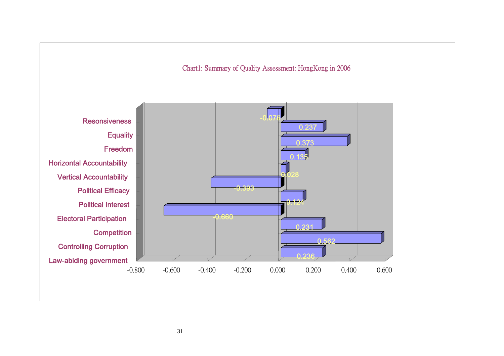